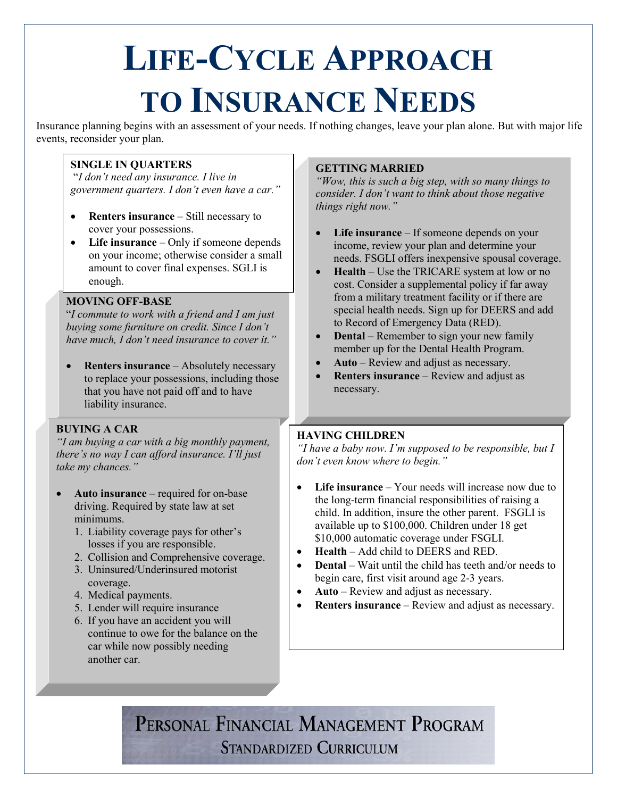# **LIFE-CYCLE APPROACH TO INSURANCE NEEDS**

Insurance planning begins with an assessment of your needs. If nothing changes, leave your plan alone. But with major life events, reconsider your plan.

#### **SINGLE IN QUARTERS**

"*I don't need any insurance. I live in government quarters. I don't even have a car."*

- **Renters insurance** Still necessary to cover your possessions.
- Life insurance Only if someone depends on your income; otherwise consider a small amount to cover final expenses. SGLI is enough.

#### **MOVING OFF-BASE**

"*I commute to work with a friend and I am just buying some furniture on credit. Since I don't have much, I don't need insurance to cover it."*

**Renters insurance** – Absolutely necessary to replace your possessions, including those that you have not paid off and to have liability insurance.

#### **BUYING A CAR**

*"I am buying a car with a big monthly payment, there's no way I can afford insurance. I'll just take my chances."*

- **Auto insurance** required for on-base driving. Required by state law at set minimums.
	- 1. Liability coverage pays for other's losses if you are responsible.
	- 2. Collision and Comprehensive coverage.
	- 3. Uninsured/Underinsured motorist coverage.
	- 4. Medical payments.
	- 5. Lender will require insurance
	- 6. If you have an accident you will continue to owe for the balance on the car while now possibly needing another car.

#### **GETTING MARRIED**

*"Wow, this is such a big step, with so many things to consider. I don't want to think about those negative things right now."*

- Life insurance If someone depends on your income, review your plan and determine your needs. FSGLI offers inexpensive spousal coverage.
- **Health** Use the TRICARE system at low or no cost. Consider a supplemental policy if far away from a military treatment facility or if there are special health needs. Sign up for DEERS and add to Record of Emergency Data (RED).
- **Dental** Remember to sign your new family member up for the Dental Health Program.
- **Auto**  Review and adjust as necessary.
- **Renters insurance** Review and adjust as necessary.

### **HAVING CHILDREN**

*"I have a baby now. I'm supposed to be responsible, but I don't even know where to begin."*

- **Life insurance** Your needs will increase now due to the long-term financial responsibilities of raising a child. In addition, insure the other parent. FSGLI is available up to \$100,000. Children under 18 get \$10,000 automatic coverage under FSGLI.
- **Health** Add child to DEERS and RED.
- **Dental** Wait until the child has teeth and/or needs to begin care, first visit around age 2-3 years.
- **Auto** Review and adjust as necessary.
- **Renters insurance** Review and adjust as necessary.

PERSONAL FINANCIAL MANAGEMENT PROGRAM **STANDARDIZED CURRICULUM**